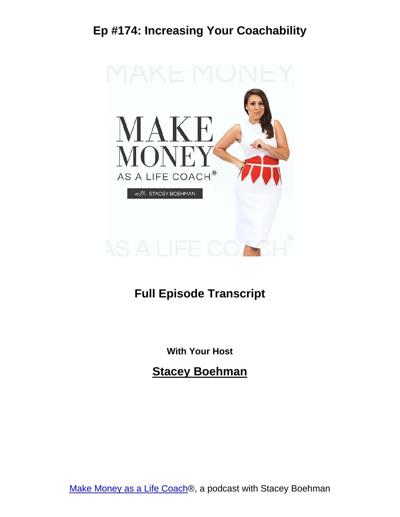

#### **Full Episode Transcript**

**With Your Host**

**Stacey Boehman**

Make Money as a Life [Coach®](https://staceyboehman.com/podcast/), a podcast with Stacey Boehman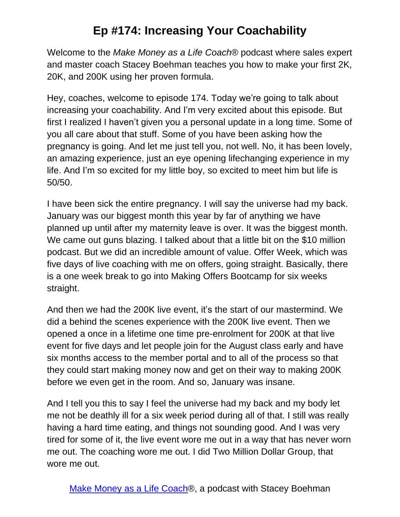Welcome to the *Make Money as a Life Coach*® podcast where sales expert and master coach Stacey Boehman teaches you how to make your first 2K, 20K, and 200K using her proven formula.

Hey, coaches, welcome to episode 174. Today we're going to talk about increasing your coachability. And I'm very excited about this episode. But first I realized I haven't given you a personal update in a long time. Some of you all care about that stuff. Some of you have been asking how the pregnancy is going. And let me just tell you, not well. No, it has been lovely, an amazing experience, just an eye opening lifechanging experience in my life. And I'm so excited for my little boy, so excited to meet him but life is 50/50.

I have been sick the entire pregnancy. I will say the universe had my back. January was our biggest month this year by far of anything we have planned up until after my maternity leave is over. It was the biggest month. We came out guns blazing. I talked about that a little bit on the \$10 million podcast. But we did an incredible amount of value. Offer Week, which was five days of live coaching with me on offers, going straight. Basically, there is a one week break to go into Making Offers Bootcamp for six weeks straight.

And then we had the 200K live event, it's the start of our mastermind. We did a behind the scenes experience with the 200K live event. Then we opened a once in a lifetime one time pre-enrolment for 200K at that live event for five days and let people join for the August class early and have six months access to the member portal and to all of the process so that they could start making money now and get on their way to making 200K before we even get in the room. And so, January was insane.

And I tell you this to say I feel the universe had my back and my body let me not be deathly ill for a six week period during all of that. I still was really having a hard time eating, and things not sounding good. And I was very tired for some of it, the live event wore me out in a way that has never worn me out. The coaching wore me out. I did Two Million Dollar Group, that wore me out.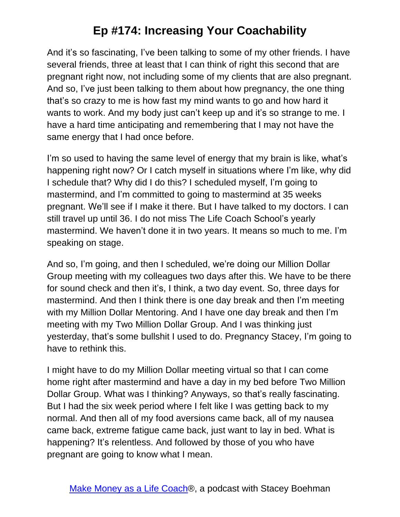And it's so fascinating, I've been talking to some of my other friends. I have several friends, three at least that I can think of right this second that are pregnant right now, not including some of my clients that are also pregnant. And so, I've just been talking to them about how pregnancy, the one thing that's so crazy to me is how fast my mind wants to go and how hard it wants to work. And my body just can't keep up and it's so strange to me. I have a hard time anticipating and remembering that I may not have the same energy that I had once before.

I'm so used to having the same level of energy that my brain is like, what's happening right now? Or I catch myself in situations where I'm like, why did I schedule that? Why did I do this? I scheduled myself, I'm going to mastermind, and I'm committed to going to mastermind at 35 weeks pregnant. We'll see if I make it there. But I have talked to my doctors. I can still travel up until 36. I do not miss The Life Coach School's yearly mastermind. We haven't done it in two years. It means so much to me. I'm speaking on stage.

And so, I'm going, and then I scheduled, we're doing our Million Dollar Group meeting with my colleagues two days after this. We have to be there for sound check and then it's, I think, a two day event. So, three days for mastermind. And then I think there is one day break and then I'm meeting with my Million Dollar Mentoring. And I have one day break and then I'm meeting with my Two Million Dollar Group. And I was thinking just yesterday, that's some bullshit I used to do. Pregnancy Stacey, I'm going to have to rethink this.

I might have to do my Million Dollar meeting virtual so that I can come home right after mastermind and have a day in my bed before Two Million Dollar Group. What was I thinking? Anyways, so that's really fascinating. But I had the six week period where I felt like I was getting back to my normal. And then all of my food aversions came back, all of my nausea came back, extreme fatigue came back, just want to lay in bed. What is happening? It's relentless. And followed by those of you who have pregnant are going to know what I mean.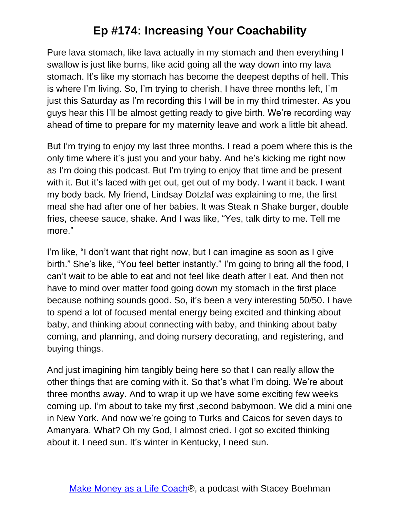Pure lava stomach, like lava actually in my stomach and then everything I swallow is just like burns, like acid going all the way down into my lava stomach. It's like my stomach has become the deepest depths of hell. This is where I'm living. So, I'm trying to cherish, I have three months left, I'm just this Saturday as I'm recording this I will be in my third trimester. As you guys hear this I'll be almost getting ready to give birth. We're recording way ahead of time to prepare for my maternity leave and work a little bit ahead.

But I'm trying to enjoy my last three months. I read a poem where this is the only time where it's just you and your baby. And he's kicking me right now as I'm doing this podcast. But I'm trying to enjoy that time and be present with it. But it's laced with get out, get out of my body. I want it back. I want my body back. My friend, Lindsay Dotzlaf was explaining to me, the first meal she had after one of her babies. It was Steak n Shake burger, double fries, cheese sauce, shake. And I was like, "Yes, talk dirty to me. Tell me more."

I'm like, "I don't want that right now, but I can imagine as soon as I give birth." She's like, "You feel better instantly." I'm going to bring all the food, I can't wait to be able to eat and not feel like death after I eat. And then not have to mind over matter food going down my stomach in the first place because nothing sounds good. So, it's been a very interesting 50/50. I have to spend a lot of focused mental energy being excited and thinking about baby, and thinking about connecting with baby, and thinking about baby coming, and planning, and doing nursery decorating, and registering, and buying things.

And just imagining him tangibly being here so that I can really allow the other things that are coming with it. So that's what I'm doing. We're about three months away. And to wrap it up we have some exciting few weeks coming up. I'm about to take my first ,second babymoon. We did a mini one in New York. And now we're going to Turks and Caicos for seven days to Amanyara. What? Oh my God, I almost cried. I got so excited thinking about it. I need sun. It's winter in Kentucky, I need sun.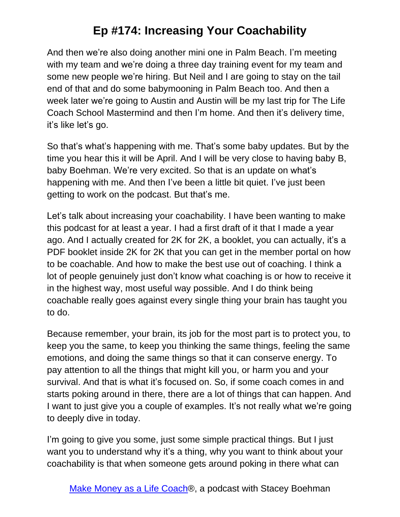And then we're also doing another mini one in Palm Beach. I'm meeting with my team and we're doing a three day training event for my team and some new people we're hiring. But Neil and I are going to stay on the tail end of that and do some babymooning in Palm Beach too. And then a week later we're going to Austin and Austin will be my last trip for The Life Coach School Mastermind and then I'm home. And then it's delivery time, it's like let's go.

So that's what's happening with me. That's some baby updates. But by the time you hear this it will be April. And I will be very close to having baby B, baby Boehman. We're very excited. So that is an update on what's happening with me. And then I've been a little bit quiet. I've just been getting to work on the podcast. But that's me.

Let's talk about increasing your coachability. I have been wanting to make this podcast for at least a year. I had a first draft of it that I made a year ago. And I actually created for 2K for 2K, a booklet, you can actually, it's a PDF booklet inside 2K for 2K that you can get in the member portal on how to be coachable. And how to make the best use out of coaching. I think a lot of people genuinely just don't know what coaching is or how to receive it in the highest way, most useful way possible. And I do think being coachable really goes against every single thing your brain has taught you to do.

Because remember, your brain, its job for the most part is to protect you, to keep you the same, to keep you thinking the same things, feeling the same emotions, and doing the same things so that it can conserve energy. To pay attention to all the things that might kill you, or harm you and your survival. And that is what it's focused on. So, if some coach comes in and starts poking around in there, there are a lot of things that can happen. And I want to just give you a couple of examples. It's not really what we're going to deeply dive in today.

I'm going to give you some, just some simple practical things. But I just want you to understand why it's a thing, why you want to think about your coachability is that when someone gets around poking in there what can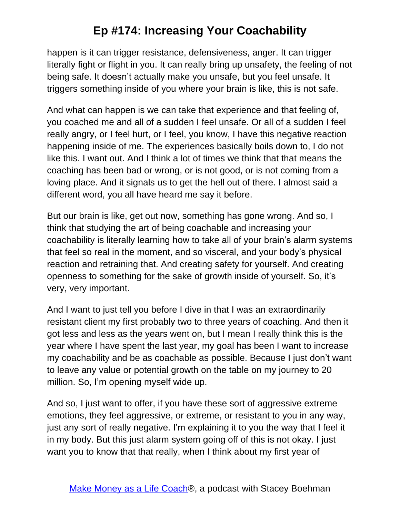happen is it can trigger resistance, defensiveness, anger. It can trigger literally fight or flight in you. It can really bring up unsafety, the feeling of not being safe. It doesn't actually make you unsafe, but you feel unsafe. It triggers something inside of you where your brain is like, this is not safe.

And what can happen is we can take that experience and that feeling of, you coached me and all of a sudden I feel unsafe. Or all of a sudden I feel really angry, or I feel hurt, or I feel, you know, I have this negative reaction happening inside of me. The experiences basically boils down to, I do not like this. I want out. And I think a lot of times we think that that means the coaching has been bad or wrong, or is not good, or is not coming from a loving place. And it signals us to get the hell out of there. I almost said a different word, you all have heard me say it before.

But our brain is like, get out now, something has gone wrong. And so, I think that studying the art of being coachable and increasing your coachability is literally learning how to take all of your brain's alarm systems that feel so real in the moment, and so visceral, and your body's physical reaction and retraining that. And creating safety for yourself. And creating openness to something for the sake of growth inside of yourself. So, it's very, very important.

And I want to just tell you before I dive in that I was an extraordinarily resistant client my first probably two to three years of coaching. And then it got less and less as the years went on, but I mean I really think this is the year where I have spent the last year, my goal has been I want to increase my coachability and be as coachable as possible. Because I just don't want to leave any value or potential growth on the table on my journey to 20 million. So, I'm opening myself wide up.

And so, I just want to offer, if you have these sort of aggressive extreme emotions, they feel aggressive, or extreme, or resistant to you in any way, just any sort of really negative. I'm explaining it to you the way that I feel it in my body. But this just alarm system going off of this is not okay. I just want you to know that that really, when I think about my first year of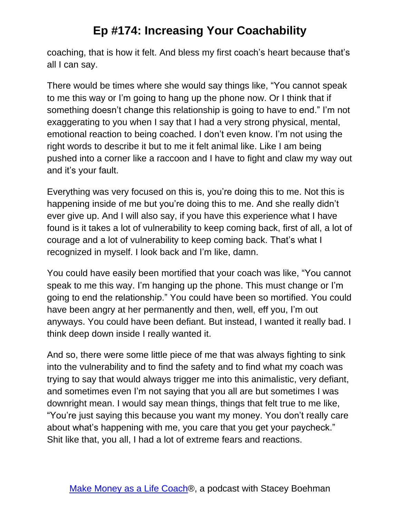coaching, that is how it felt. And bless my first coach's heart because that's all I can say.

There would be times where she would say things like, "You cannot speak to me this way or I'm going to hang up the phone now. Or I think that if something doesn't change this relationship is going to have to end." I'm not exaggerating to you when I say that I had a very strong physical, mental, emotional reaction to being coached. I don't even know. I'm not using the right words to describe it but to me it felt animal like. Like I am being pushed into a corner like a raccoon and I have to fight and claw my way out and it's your fault.

Everything was very focused on this is, you're doing this to me. Not this is happening inside of me but you're doing this to me. And she really didn't ever give up. And I will also say, if you have this experience what I have found is it takes a lot of vulnerability to keep coming back, first of all, a lot of courage and a lot of vulnerability to keep coming back. That's what I recognized in myself. I look back and I'm like, damn.

You could have easily been mortified that your coach was like, "You cannot speak to me this way. I'm hanging up the phone. This must change or I'm going to end the relationship." You could have been so mortified. You could have been angry at her permanently and then, well, eff you, I'm out anyways. You could have been defiant. But instead, I wanted it really bad. I think deep down inside I really wanted it.

And so, there were some little piece of me that was always fighting to sink into the vulnerability and to find the safety and to find what my coach was trying to say that would always trigger me into this animalistic, very defiant, and sometimes even I'm not saying that you all are but sometimes I was downright mean. I would say mean things, things that felt true to me like, "You're just saying this because you want my money. You don't really care about what's happening with me, you care that you get your paycheck." Shit like that, you all, I had a lot of extreme fears and reactions.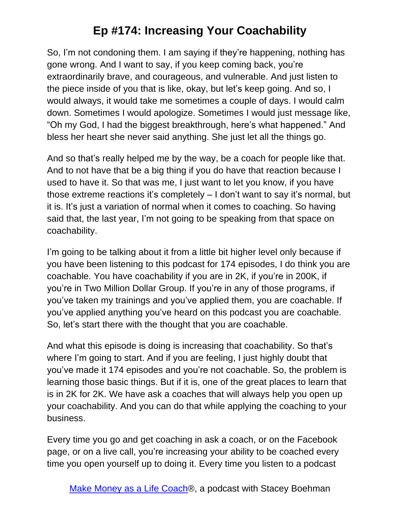So, I'm not condoning them. I am saying if they're happening, nothing has gone wrong. And I want to say, if you keep coming back, you're extraordinarily brave, and courageous, and vulnerable. And just listen to the piece inside of you that is like, okay, but let's keep going. And so, I would always, it would take me sometimes a couple of days. I would calm down. Sometimes I would apologize. Sometimes I would just message like, "Oh my God, I had the biggest breakthrough, here's what happened." And bless her heart she never said anything. She just let all the things go.

And so that's really helped me by the way, be a coach for people like that. And to not have that be a big thing if you do have that reaction because I used to have it. So that was me, I just want to let you know, if you have those extreme reactions it's completely – I don't want to say it's normal, but it is. It's just a variation of normal when it comes to coaching. So having said that, the last year, I'm not going to be speaking from that space on coachability.

I'm going to be talking about it from a little bit higher level only because if you have been listening to this podcast for 174 episodes, I do think you are coachable. You have coachability if you are in 2K, if you're in 200K, if you're in Two Million Dollar Group. If you're in any of those programs, if you've taken my trainings and you've applied them, you are coachable. If you've applied anything you've heard on this podcast you are coachable. So, let's start there with the thought that you are coachable.

And what this episode is doing is increasing that coachability. So that's where I'm going to start. And if you are feeling, I just highly doubt that you've made it 174 episodes and you're not coachable. So, the problem is learning those basic things. But if it is, one of the great places to learn that is in 2K for 2K. We have ask a coaches that will always help you open up your coachability. And you can do that while applying the coaching to your business.

Every time you go and get coaching in ask a coach, or on the Facebook page, or on a live call, you're increasing your ability to be coached every time you open yourself up to doing it. Every time you listen to a podcast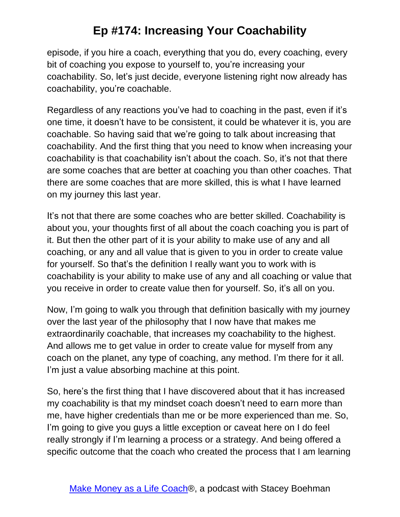episode, if you hire a coach, everything that you do, every coaching, every bit of coaching you expose to yourself to, you're increasing your coachability. So, let's just decide, everyone listening right now already has coachability, you're coachable.

Regardless of any reactions you've had to coaching in the past, even if it's one time, it doesn't have to be consistent, it could be whatever it is, you are coachable. So having said that we're going to talk about increasing that coachability. And the first thing that you need to know when increasing your coachability is that coachability isn't about the coach. So, it's not that there are some coaches that are better at coaching you than other coaches. That there are some coaches that are more skilled, this is what I have learned on my journey this last year.

It's not that there are some coaches who are better skilled. Coachability is about you, your thoughts first of all about the coach coaching you is part of it. But then the other part of it is your ability to make use of any and all coaching, or any and all value that is given to you in order to create value for yourself. So that's the definition I really want you to work with is coachability is your ability to make use of any and all coaching or value that you receive in order to create value then for yourself. So, it's all on you.

Now, I'm going to walk you through that definition basically with my journey over the last year of the philosophy that I now have that makes me extraordinarily coachable, that increases my coachability to the highest. And allows me to get value in order to create value for myself from any coach on the planet, any type of coaching, any method. I'm there for it all. I'm just a value absorbing machine at this point.

So, here's the first thing that I have discovered about that it has increased my coachability is that my mindset coach doesn't need to earn more than me, have higher credentials than me or be more experienced than me. So, I'm going to give you guys a little exception or caveat here on I do feel really strongly if I'm learning a process or a strategy. And being offered a specific outcome that the coach who created the process that I am learning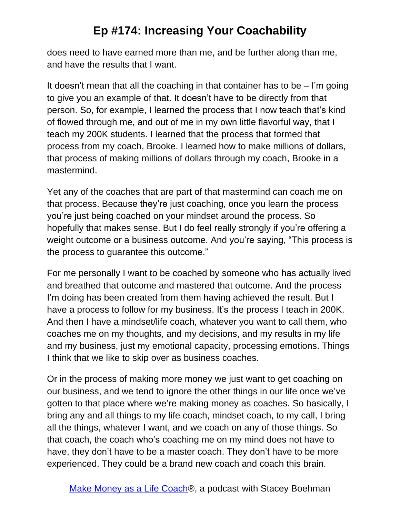does need to have earned more than me, and be further along than me, and have the results that I want.

It doesn't mean that all the coaching in that container has to be  $-$  I'm going to give you an example of that. It doesn't have to be directly from that person. So, for example, I learned the process that I now teach that's kind of flowed through me, and out of me in my own little flavorful way, that I teach my 200K students. I learned that the process that formed that process from my coach, Brooke. I learned how to make millions of dollars, that process of making millions of dollars through my coach, Brooke in a mastermind.

Yet any of the coaches that are part of that mastermind can coach me on that process. Because they're just coaching, once you learn the process you're just being coached on your mindset around the process. So hopefully that makes sense. But I do feel really strongly if you're offering a weight outcome or a business outcome. And you're saying, "This process is the process to guarantee this outcome."

For me personally I want to be coached by someone who has actually lived and breathed that outcome and mastered that outcome. And the process I'm doing has been created from them having achieved the result. But I have a process to follow for my business. It's the process I teach in 200K. And then I have a mindset/life coach, whatever you want to call them, who coaches me on my thoughts, and my decisions, and my results in my life and my business, just my emotional capacity, processing emotions. Things I think that we like to skip over as business coaches.

Or in the process of making more money we just want to get coaching on our business, and we tend to ignore the other things in our life once we've gotten to that place where we're making money as coaches. So basically, I bring any and all things to my life coach, mindset coach, to my call, I bring all the things, whatever I want, and we coach on any of those things. So that coach, the coach who's coaching me on my mind does not have to have, they don't have to be a master coach. They don't have to be more experienced. They could be a brand new coach and coach this brain.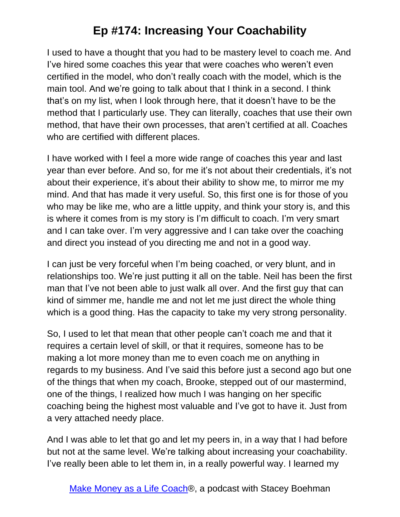I used to have a thought that you had to be mastery level to coach me. And I've hired some coaches this year that were coaches who weren't even certified in the model, who don't really coach with the model, which is the main tool. And we're going to talk about that I think in a second. I think that's on my list, when I look through here, that it doesn't have to be the method that I particularly use. They can literally, coaches that use their own method, that have their own processes, that aren't certified at all. Coaches who are certified with different places.

I have worked with I feel a more wide range of coaches this year and last year than ever before. And so, for me it's not about their credentials, it's not about their experience, it's about their ability to show me, to mirror me my mind. And that has made it very useful. So, this first one is for those of you who may be like me, who are a little uppity, and think your story is, and this is where it comes from is my story is I'm difficult to coach. I'm very smart and I can take over. I'm very aggressive and I can take over the coaching and direct you instead of you directing me and not in a good way.

I can just be very forceful when I'm being coached, or very blunt, and in relationships too. We're just putting it all on the table. Neil has been the first man that I've not been able to just walk all over. And the first guy that can kind of simmer me, handle me and not let me just direct the whole thing which is a good thing. Has the capacity to take my very strong personality.

So, I used to let that mean that other people can't coach me and that it requires a certain level of skill, or that it requires, someone has to be making a lot more money than me to even coach me on anything in regards to my business. And I've said this before just a second ago but one of the things that when my coach, Brooke, stepped out of our mastermind, one of the things, I realized how much I was hanging on her specific coaching being the highest most valuable and I've got to have it. Just from a very attached needy place.

And I was able to let that go and let my peers in, in a way that I had before but not at the same level. We're talking about increasing your coachability. I've really been able to let them in, in a really powerful way. I learned my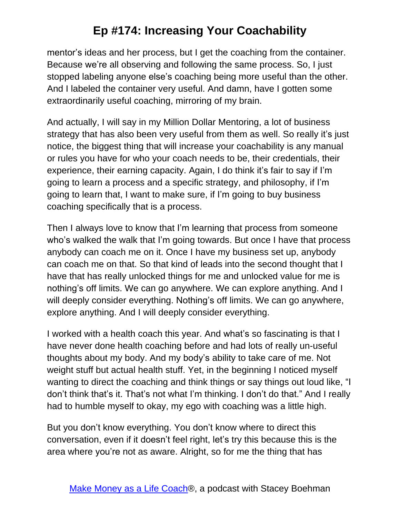mentor's ideas and her process, but I get the coaching from the container. Because we're all observing and following the same process. So, I just stopped labeling anyone else's coaching being more useful than the other. And I labeled the container very useful. And damn, have I gotten some extraordinarily useful coaching, mirroring of my brain.

And actually, I will say in my Million Dollar Mentoring, a lot of business strategy that has also been very useful from them as well. So really it's just notice, the biggest thing that will increase your coachability is any manual or rules you have for who your coach needs to be, their credentials, their experience, their earning capacity. Again, I do think it's fair to say if I'm going to learn a process and a specific strategy, and philosophy, if I'm going to learn that, I want to make sure, if I'm going to buy business coaching specifically that is a process.

Then I always love to know that I'm learning that process from someone who's walked the walk that I'm going towards. But once I have that process anybody can coach me on it. Once I have my business set up, anybody can coach me on that. So that kind of leads into the second thought that I have that has really unlocked things for me and unlocked value for me is nothing's off limits. We can go anywhere. We can explore anything. And I will deeply consider everything. Nothing's off limits. We can go anywhere, explore anything. And I will deeply consider everything.

I worked with a health coach this year. And what's so fascinating is that I have never done health coaching before and had lots of really un-useful thoughts about my body. And my body's ability to take care of me. Not weight stuff but actual health stuff. Yet, in the beginning I noticed myself wanting to direct the coaching and think things or say things out loud like, "I don't think that's it. That's not what I'm thinking. I don't do that." And I really had to humble myself to okay, my ego with coaching was a little high.

But you don't know everything. You don't know where to direct this conversation, even if it doesn't feel right, let's try this because this is the area where you're not as aware. Alright, so for me the thing that has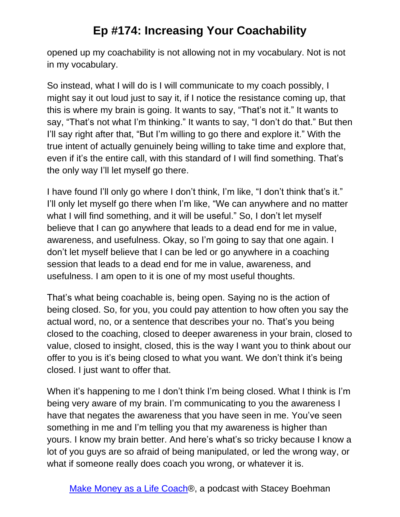opened up my coachability is not allowing not in my vocabulary. Not is not in my vocabulary.

So instead, what I will do is I will communicate to my coach possibly, I might say it out loud just to say it, if I notice the resistance coming up, that this is where my brain is going. It wants to say, "That's not it." It wants to say, "That's not what I'm thinking." It wants to say, "I don't do that." But then I'll say right after that, "But I'm willing to go there and explore it." With the true intent of actually genuinely being willing to take time and explore that, even if it's the entire call, with this standard of I will find something. That's the only way I'll let myself go there.

I have found I'll only go where I don't think, I'm like, "I don't think that's it." I'll only let myself go there when I'm like, "We can anywhere and no matter what I will find something, and it will be useful." So, I don't let myself believe that I can go anywhere that leads to a dead end for me in value, awareness, and usefulness. Okay, so I'm going to say that one again. I don't let myself believe that I can be led or go anywhere in a coaching session that leads to a dead end for me in value, awareness, and usefulness. I am open to it is one of my most useful thoughts.

That's what being coachable is, being open. Saying no is the action of being closed. So, for you, you could pay attention to how often you say the actual word, no, or a sentence that describes your no. That's you being closed to the coaching, closed to deeper awareness in your brain, closed to value, closed to insight, closed, this is the way I want you to think about our offer to you is it's being closed to what you want. We don't think it's being closed. I just want to offer that.

When it's happening to me I don't think I'm being closed. What I think is I'm being very aware of my brain. I'm communicating to you the awareness I have that negates the awareness that you have seen in me. You've seen something in me and I'm telling you that my awareness is higher than yours. I know my brain better. And here's what's so tricky because I know a lot of you guys are so afraid of being manipulated, or led the wrong way, or what if someone really does coach you wrong, or whatever it is.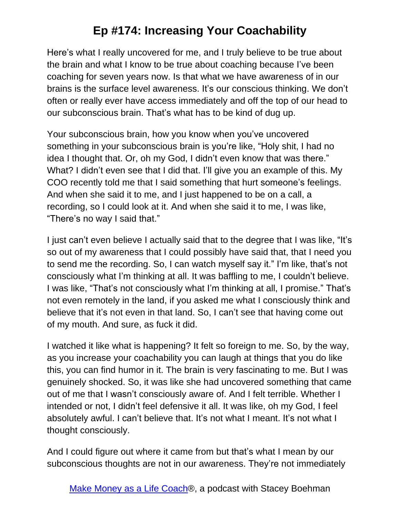Here's what I really uncovered for me, and I truly believe to be true about the brain and what I know to be true about coaching because I've been coaching for seven years now. Is that what we have awareness of in our brains is the surface level awareness. It's our conscious thinking. We don't often or really ever have access immediately and off the top of our head to our subconscious brain. That's what has to be kind of dug up.

Your subconscious brain, how you know when you've uncovered something in your subconscious brain is you're like, "Holy shit, I had no idea I thought that. Or, oh my God, I didn't even know that was there." What? I didn't even see that I did that. I'll give you an example of this. My COO recently told me that I said something that hurt someone's feelings. And when she said it to me, and I just happened to be on a call, a recording, so I could look at it. And when she said it to me, I was like, "There's no way I said that."

I just can't even believe I actually said that to the degree that I was like, "It's so out of my awareness that I could possibly have said that, that I need you to send me the recording. So, I can watch myself say it." I'm like, that's not consciously what I'm thinking at all. It was baffling to me, I couldn't believe. I was like, "That's not consciously what I'm thinking at all, I promise." That's not even remotely in the land, if you asked me what I consciously think and believe that it's not even in that land. So, I can't see that having come out of my mouth. And sure, as fuck it did.

I watched it like what is happening? It felt so foreign to me. So, by the way, as you increase your coachability you can laugh at things that you do like this, you can find humor in it. The brain is very fascinating to me. But I was genuinely shocked. So, it was like she had uncovered something that came out of me that I wasn't consciously aware of. And I felt terrible. Whether I intended or not, I didn't feel defensive it all. It was like, oh my God, I feel absolutely awful. I can't believe that. It's not what I meant. It's not what I thought consciously.

And I could figure out where it came from but that's what I mean by our subconscious thoughts are not in our awareness. They're not immediately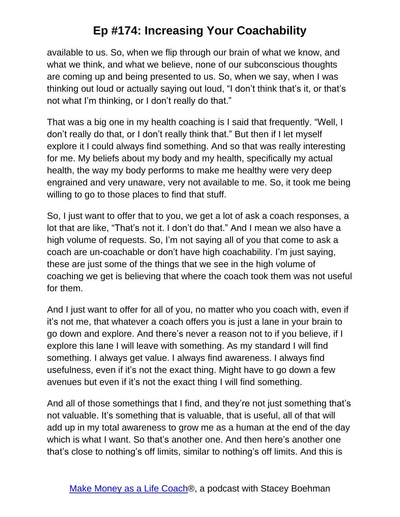available to us. So, when we flip through our brain of what we know, and what we think, and what we believe, none of our subconscious thoughts are coming up and being presented to us. So, when we say, when I was thinking out loud or actually saying out loud, "I don't think that's it, or that's not what I'm thinking, or I don't really do that."

That was a big one in my health coaching is I said that frequently. "Well, I don't really do that, or I don't really think that." But then if I let myself explore it I could always find something. And so that was really interesting for me. My beliefs about my body and my health, specifically my actual health, the way my body performs to make me healthy were very deep engrained and very unaware, very not available to me. So, it took me being willing to go to those places to find that stuff.

So, I just want to offer that to you, we get a lot of ask a coach responses, a lot that are like, "That's not it. I don't do that." And I mean we also have a high volume of requests. So, I'm not saying all of you that come to ask a coach are un-coachable or don't have high coachability. I'm just saying, these are just some of the things that we see in the high volume of coaching we get is believing that where the coach took them was not useful for them.

And I just want to offer for all of you, no matter who you coach with, even if it's not me, that whatever a coach offers you is just a lane in your brain to go down and explore. And there's never a reason not to if you believe, if I explore this lane I will leave with something. As my standard I will find something. I always get value. I always find awareness. I always find usefulness, even if it's not the exact thing. Might have to go down a few avenues but even if it's not the exact thing I will find something.

And all of those somethings that I find, and they're not just something that's not valuable. It's something that is valuable, that is useful, all of that will add up in my total awareness to grow me as a human at the end of the day which is what I want. So that's another one. And then here's another one that's close to nothing's off limits, similar to nothing's off limits. And this is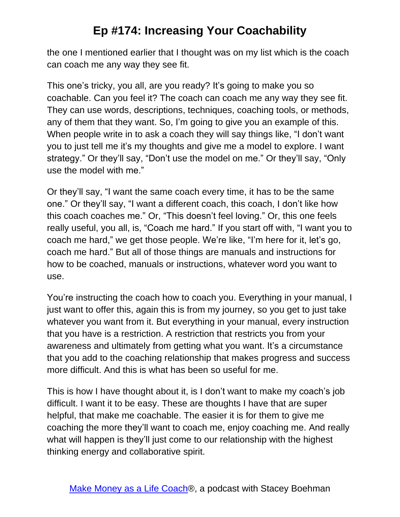the one I mentioned earlier that I thought was on my list which is the coach can coach me any way they see fit.

This one's tricky, you all, are you ready? It's going to make you so coachable. Can you feel it? The coach can coach me any way they see fit. They can use words, descriptions, techniques, coaching tools, or methods, any of them that they want. So, I'm going to give you an example of this. When people write in to ask a coach they will say things like, "I don't want you to just tell me it's my thoughts and give me a model to explore. I want strategy." Or they'll say, "Don't use the model on me." Or they'll say, "Only use the model with me."

Or they'll say, "I want the same coach every time, it has to be the same one." Or they'll say, "I want a different coach, this coach, I don't like how this coach coaches me." Or, "This doesn't feel loving." Or, this one feels really useful, you all, is, "Coach me hard." If you start off with, "I want you to coach me hard," we get those people. We're like, "I'm here for it, let's go, coach me hard." But all of those things are manuals and instructions for how to be coached, manuals or instructions, whatever word you want to use.

You're instructing the coach how to coach you. Everything in your manual, I just want to offer this, again this is from my journey, so you get to just take whatever you want from it. But everything in your manual, every instruction that you have is a restriction. A restriction that restricts you from your awareness and ultimately from getting what you want. It's a circumstance that you add to the coaching relationship that makes progress and success more difficult. And this is what has been so useful for me.

This is how I have thought about it, is I don't want to make my coach's job difficult. I want it to be easy. These are thoughts I have that are super helpful, that make me coachable. The easier it is for them to give me coaching the more they'll want to coach me, enjoy coaching me. And really what will happen is they'll just come to our relationship with the highest thinking energy and collaborative spirit.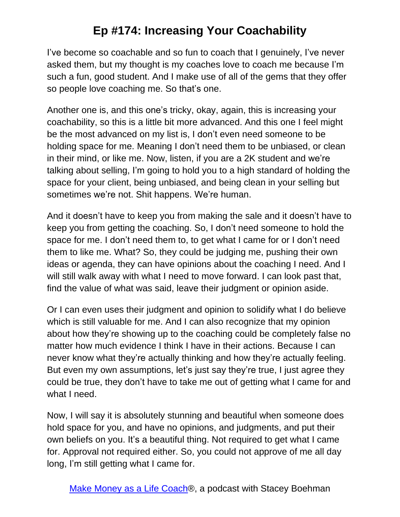I've become so coachable and so fun to coach that I genuinely, I've never asked them, but my thought is my coaches love to coach me because I'm such a fun, good student. And I make use of all of the gems that they offer so people love coaching me. So that's one.

Another one is, and this one's tricky, okay, again, this is increasing your coachability, so this is a little bit more advanced. And this one I feel might be the most advanced on my list is, I don't even need someone to be holding space for me. Meaning I don't need them to be unbiased, or clean in their mind, or like me. Now, listen, if you are a 2K student and we're talking about selling, I'm going to hold you to a high standard of holding the space for your client, being unbiased, and being clean in your selling but sometimes we're not. Shit happens. We're human.

And it doesn't have to keep you from making the sale and it doesn't have to keep you from getting the coaching. So, I don't need someone to hold the space for me. I don't need them to, to get what I came for or I don't need them to like me. What? So, they could be judging me, pushing their own ideas or agenda, they can have opinions about the coaching I need. And I will still walk away with what I need to move forward. I can look past that, find the value of what was said, leave their judgment or opinion aside.

Or I can even uses their judgment and opinion to solidify what I do believe which is still valuable for me. And I can also recognize that my opinion about how they're showing up to the coaching could be completely false no matter how much evidence I think I have in their actions. Because I can never know what they're actually thinking and how they're actually feeling. But even my own assumptions, let's just say they're true, I just agree they could be true, they don't have to take me out of getting what I came for and what I need.

Now, I will say it is absolutely stunning and beautiful when someone does hold space for you, and have no opinions, and judgments, and put their own beliefs on you. It's a beautiful thing. Not required to get what I came for. Approval not required either. So, you could not approve of me all day long, I'm still getting what I came for.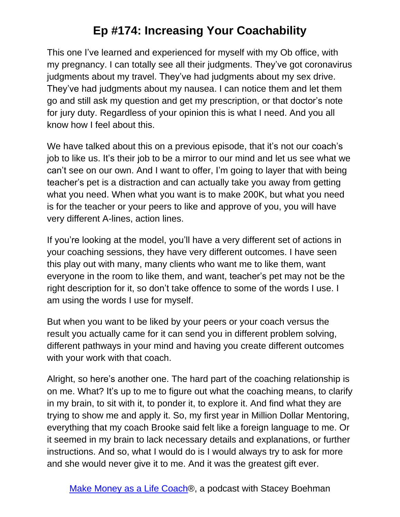This one I've learned and experienced for myself with my Ob office, with my pregnancy. I can totally see all their judgments. They've got coronavirus judgments about my travel. They've had judgments about my sex drive. They've had judgments about my nausea. I can notice them and let them go and still ask my question and get my prescription, or that doctor's note for jury duty. Regardless of your opinion this is what I need. And you all know how I feel about this.

We have talked about this on a previous episode, that it's not our coach's job to like us. It's their job to be a mirror to our mind and let us see what we can't see on our own. And I want to offer, I'm going to layer that with being teacher's pet is a distraction and can actually take you away from getting what you need. When what you want is to make 200K, but what you need is for the teacher or your peers to like and approve of you, you will have very different A-lines, action lines.

If you're looking at the model, you'll have a very different set of actions in your coaching sessions, they have very different outcomes. I have seen this play out with many, many clients who want me to like them, want everyone in the room to like them, and want, teacher's pet may not be the right description for it, so don't take offence to some of the words I use. I am using the words I use for myself.

But when you want to be liked by your peers or your coach versus the result you actually came for it can send you in different problem solving, different pathways in your mind and having you create different outcomes with your work with that coach.

Alright, so here's another one. The hard part of the coaching relationship is on me. What? It's up to me to figure out what the coaching means, to clarify in my brain, to sit with it, to ponder it, to explore it. And find what they are trying to show me and apply it. So, my first year in Million Dollar Mentoring, everything that my coach Brooke said felt like a foreign language to me. Or it seemed in my brain to lack necessary details and explanations, or further instructions. And so, what I would do is I would always try to ask for more and she would never give it to me. And it was the greatest gift ever.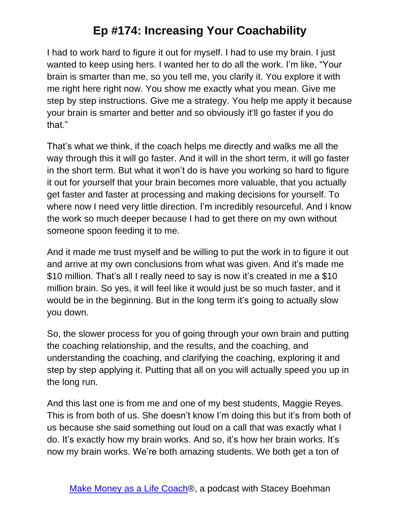I had to work hard to figure it out for myself. I had to use my brain. I just wanted to keep using hers. I wanted her to do all the work. I'm like, "Your brain is smarter than me, so you tell me, you clarify it. You explore it with me right here right now. You show me exactly what you mean. Give me step by step instructions. Give me a strategy. You help me apply it because your brain is smarter and better and so obviously it'll go faster if you do that."

That's what we think, if the coach helps me directly and walks me all the way through this it will go faster. And it will in the short term, it will go faster in the short term. But what it won't do is have you working so hard to figure it out for yourself that your brain becomes more valuable, that you actually get faster and faster at processing and making decisions for yourself. To where now I need very little direction. I'm incredibly resourceful. And I know the work so much deeper because I had to get there on my own without someone spoon feeding it to me.

And it made me trust myself and be willing to put the work in to figure it out and arrive at my own conclusions from what was given. And it's made me \$10 million. That's all I really need to say is now it's created in me a \$10 million brain. So yes, it will feel like it would just be so much faster, and it would be in the beginning. But in the long term it's going to actually slow you down.

So, the slower process for you of going through your own brain and putting the coaching relationship, and the results, and the coaching, and understanding the coaching, and clarifying the coaching, exploring it and step by step applying it. Putting that all on you will actually speed you up in the long run.

And this last one is from me and one of my best students, Maggie Reyes. This is from both of us. She doesn't know I'm doing this but it's from both of us because she said something out loud on a call that was exactly what I do. It's exactly how my brain works. And so, it's how her brain works. It's now my brain works. We're both amazing students. We both get a ton of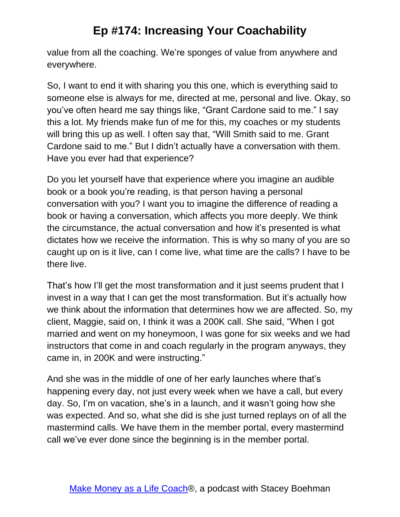value from all the coaching. We're sponges of value from anywhere and everywhere.

So, I want to end it with sharing you this one, which is everything said to someone else is always for me, directed at me, personal and live. Okay, so you've often heard me say things like, "Grant Cardone said to me." I say this a lot. My friends make fun of me for this, my coaches or my students will bring this up as well. I often say that, "Will Smith said to me. Grant Cardone said to me." But I didn't actually have a conversation with them. Have you ever had that experience?

Do you let yourself have that experience where you imagine an audible book or a book you're reading, is that person having a personal conversation with you? I want you to imagine the difference of reading a book or having a conversation, which affects you more deeply. We think the circumstance, the actual conversation and how it's presented is what dictates how we receive the information. This is why so many of you are so caught up on is it live, can I come live, what time are the calls? I have to be there live.

That's how I'll get the most transformation and it just seems prudent that I invest in a way that I can get the most transformation. But it's actually how we think about the information that determines how we are affected. So, my client, Maggie, said on, I think it was a 200K call. She said, "When I got married and went on my honeymoon, I was gone for six weeks and we had instructors that come in and coach regularly in the program anyways, they came in, in 200K and were instructing."

And she was in the middle of one of her early launches where that's happening every day, not just every week when we have a call, but every day. So, I'm on vacation, she's in a launch, and it wasn't going how she was expected. And so, what she did is she just turned replays on of all the mastermind calls. We have them in the member portal, every mastermind call we've ever done since the beginning is in the member portal.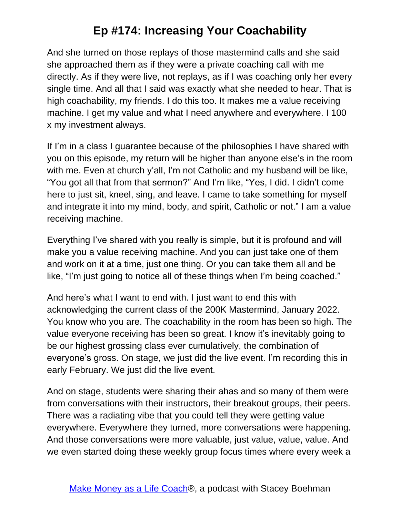And she turned on those replays of those mastermind calls and she said she approached them as if they were a private coaching call with me directly. As if they were live, not replays, as if I was coaching only her every single time. And all that I said was exactly what she needed to hear. That is high coachability, my friends. I do this too. It makes me a value receiving machine. I get my value and what I need anywhere and everywhere. I 100 x my investment always.

If I'm in a class I guarantee because of the philosophies I have shared with you on this episode, my return will be higher than anyone else's in the room with me. Even at church y'all, I'm not Catholic and my husband will be like, "You got all that from that sermon?" And I'm like, "Yes, I did. I didn't come here to just sit, kneel, sing, and leave. I came to take something for myself and integrate it into my mind, body, and spirit, Catholic or not." I am a value receiving machine.

Everything I've shared with you really is simple, but it is profound and will make you a value receiving machine. And you can just take one of them and work on it at a time, just one thing. Or you can take them all and be like, "I'm just going to notice all of these things when I'm being coached."

And here's what I want to end with. I just want to end this with acknowledging the current class of the 200K Mastermind, January 2022. You know who you are. The coachability in the room has been so high. The value everyone receiving has been so great. I know it's inevitably going to be our highest grossing class ever cumulatively, the combination of everyone's gross. On stage, we just did the live event. I'm recording this in early February. We just did the live event.

And on stage, students were sharing their ahas and so many of them were from conversations with their instructors, their breakout groups, their peers. There was a radiating vibe that you could tell they were getting value everywhere. Everywhere they turned, more conversations were happening. And those conversations were more valuable, just value, value, value. And we even started doing these weekly group focus times where every week a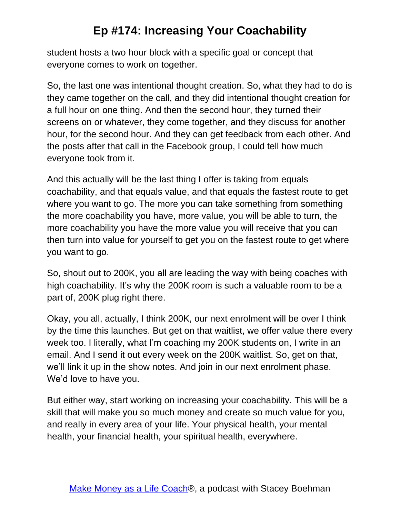student hosts a two hour block with a specific goal or concept that everyone comes to work on together.

So, the last one was intentional thought creation. So, what they had to do is they came together on the call, and they did intentional thought creation for a full hour on one thing. And then the second hour, they turned their screens on or whatever, they come together, and they discuss for another hour, for the second hour. And they can get feedback from each other. And the posts after that call in the Facebook group, I could tell how much everyone took from it.

And this actually will be the last thing I offer is taking from equals coachability, and that equals value, and that equals the fastest route to get where you want to go. The more you can take something from something the more coachability you have, more value, you will be able to turn, the more coachability you have the more value you will receive that you can then turn into value for yourself to get you on the fastest route to get where you want to go.

So, shout out to 200K, you all are leading the way with being coaches with high coachability. It's why the 200K room is such a valuable room to be a part of, 200K plug right there.

Okay, you all, actually, I think 200K, our next enrolment will be over I think by the time this launches. But get on that waitlist, we offer value there every week too. I literally, what I'm coaching my 200K students on, I write in an email. And I send it out every week on the 200K waitlist. So, get on that, we'll link it up in the show notes. And join in our next enrolment phase. We'd love to have you.

But either way, start working on increasing your coachability. This will be a skill that will make you so much money and create so much value for you, and really in every area of your life. Your physical health, your mental health, your financial health, your spiritual health, everywhere.